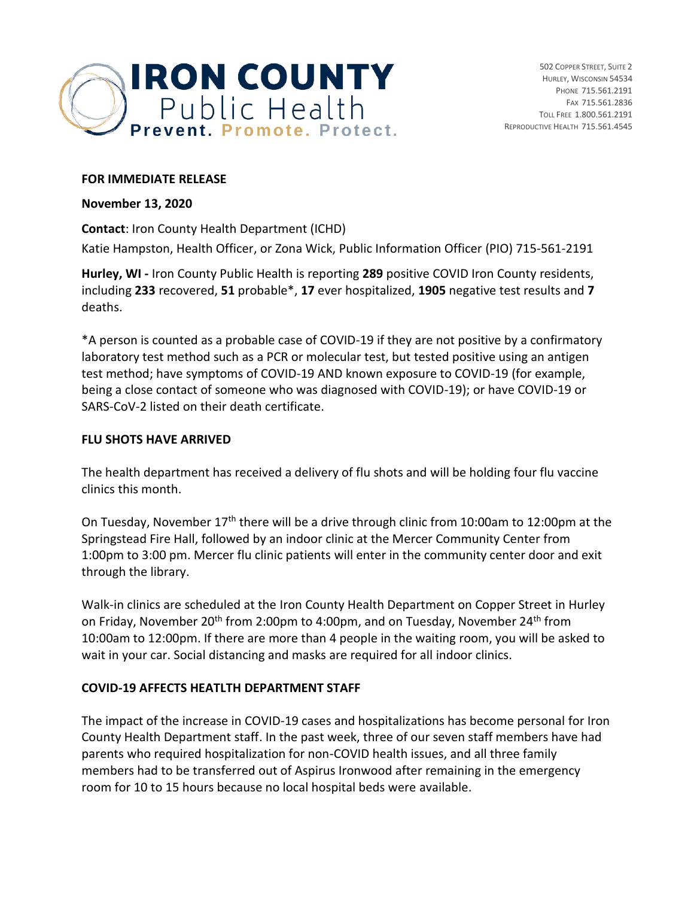

#### **FOR IMMEDIATE RELEASE**

#### **November 13, 2020**

**Contact**: Iron County Health Department (ICHD)

Katie Hampston, Health Officer, or Zona Wick, Public Information Officer (PIO) 715-561-2191

**Hurley, WI -** Iron County Public Health is reporting **289** positive COVID Iron County residents, including **233** recovered, **51** probable\*, **17** ever hospitalized, **1905** negative test results and **7** deaths.

\*A person is counted as a probable case of COVID-19 if they are not positive by a confirmatory laboratory test method such as a PCR or molecular test, but tested positive using an antigen test method; have symptoms of COVID-19 AND known exposure to COVID-19 (for example, being a close contact of someone who was diagnosed with COVID-19); or have COVID-19 or SARS-CoV-2 listed on their death certificate.

### **FLU SHOTS HAVE ARRIVED**

The health department has received a delivery of flu shots and will be holding four flu vaccine clinics this month.

On Tuesday, November 17<sup>th</sup> there will be a drive through clinic from 10:00am to 12:00pm at the Springstead Fire Hall, followed by an indoor clinic at the Mercer Community Center from 1:00pm to 3:00 pm. Mercer flu clinic patients will enter in the community center door and exit through the library.

Walk-in clinics are scheduled at the Iron County Health Department on Copper Street in Hurley on Friday, November 20<sup>th</sup> from 2:00pm to 4:00pm, and on Tuesday, November 24<sup>th</sup> from 10:00am to 12:00pm. If there are more than 4 people in the waiting room, you will be asked to wait in your car. Social distancing and masks are required for all indoor clinics.

### **COVID-19 AFFECTS HEATLTH DEPARTMENT STAFF**

The impact of the increase in COVID-19 cases and hospitalizations has become personal for Iron County Health Department staff. In the past week, three of our seven staff members have had parents who required hospitalization for non-COVID health issues, and all three family members had to be transferred out of Aspirus Ironwood after remaining in the emergency room for 10 to 15 hours because no local hospital beds were available.